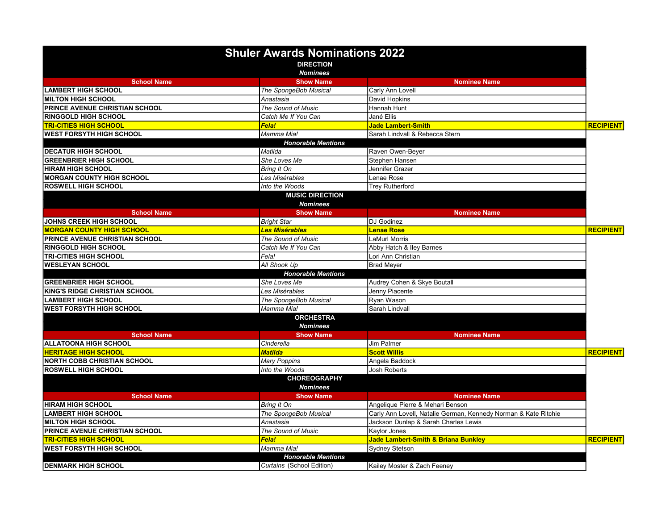|                                       | <b>Shuler Awards Nominations 2022</b><br><b>DIRECTION</b> |                                                                 |                  |
|---------------------------------------|-----------------------------------------------------------|-----------------------------------------------------------------|------------------|
|                                       | <b>Nominees</b>                                           |                                                                 |                  |
| <b>School Name</b>                    | <b>Show Name</b>                                          | <b>Nominee Name</b>                                             |                  |
| <b>LAMBERT HIGH SCHOOL</b>            | The SpongeBob Musical                                     | Carly Ann Lovell                                                |                  |
| <b>MILTON HIGH SCHOOL</b>             | Anastasia                                                 | David Hopkins                                                   |                  |
| <b>PRINCE AVENUE CHRISTIAN SCHOOL</b> | The Sound of Music                                        | Hannah Hunt                                                     |                  |
| <b>RINGGOLD HIGH SCHOOL</b>           | Catch Me If You Can                                       | Jané Ellis                                                      |                  |
| <b>TRI-CITIES HIGH SCHOOL</b>         | <b>Fela!</b>                                              | <b>Jade Lambert-Smith</b>                                       | <b>RECIPIENT</b> |
| <b>WEST FORSYTH HIGH SCHOOL</b>       | Mamma Mia!                                                | Sarah Lindvall & Rebecca Stern                                  |                  |
|                                       | <b>Honorable Mentions</b>                                 |                                                                 |                  |
| <b>DECATUR HIGH SCHOOL</b>            | Matilda                                                   | Raven Owen-Beyer                                                |                  |
| <b>GREENBRIER HIGH SCHOOL</b>         | She Loves Me                                              | Stephen Hansen                                                  |                  |
| <b>HIRAM HIGH SCHOOL</b>              | <b>Bring It On</b>                                        | Jennifer Grazer                                                 |                  |
| <b>MORGAN COUNTY HIGH SCHOOL</b>      | Les Misérables                                            | Lenae Rose                                                      |                  |
| <b>ROSWELL HIGH SCHOOL</b>            | Into the Woods                                            | <b>Trey Rutherford</b>                                          |                  |
|                                       | <b>MUSIC DIRECTION</b>                                    |                                                                 |                  |
|                                       | <b>Nominees</b>                                           |                                                                 |                  |
| <b>School Name</b>                    | <b>Show Name</b>                                          | <b>Nominee Name</b>                                             |                  |
| <b>JOHNS CREEK HIGH SCHOOL</b>        | <b>Bright Star</b>                                        | DJ Godinez                                                      |                  |
| <b>MORGAN COUNTY HIGH SCHOOL</b>      | <b>Les Misérables</b>                                     | <b>Lenae Rose</b>                                               | <b>RECIPIENT</b> |
| PRINCE AVENUE CHRISTIAN SCHOOL        | The Sound of Music                                        | LaMurl Morris                                                   |                  |
| <b>RINGGOLD HIGH SCHOOL</b>           | Catch Me If You Can                                       | Abby Hatch & Iley Barnes                                        |                  |
| <b>TRI-CITIES HIGH SCHOOL</b>         | Fela!                                                     | Lori Ann Christian                                              |                  |
| <b>WESLEYAN SCHOOL</b>                | All Shook Up                                              | <b>Brad Meyer</b>                                               |                  |
|                                       | <b>Honorable Mentions</b>                                 |                                                                 |                  |
| <b>GREENBRIER HIGH SCHOOL</b>         | She Loves Me                                              | Audrey Cohen & Skye Boutall                                     |                  |
| KING'S RIDGE CHRISTIAN SCHOOL         | Les Misérables                                            | Jenny Piacente                                                  |                  |
| <b>LAMBERT HIGH SCHOOL</b>            | The SpongeBob Musical                                     | Ryan Wason                                                      |                  |
| <b>WEST FORSYTH HIGH SCHOOL</b>       | Mamma Mia!                                                | Sarah Lindvall                                                  |                  |
|                                       | <b>ORCHESTRA</b>                                          |                                                                 |                  |
|                                       | <b>Nominees</b>                                           |                                                                 |                  |
| <b>School Name</b>                    | <b>Show Name</b>                                          | <b>Nominee Name</b>                                             |                  |
| <b>ALLATOONA HIGH SCHOOL</b>          | Cinderella                                                | Jim Palmer                                                      |                  |
| <b>HERITAGE HIGH SCHOOL</b>           | <b>Matilda</b>                                            | <b>Scott Willis</b>                                             | <b>RECIPIENT</b> |
| <b>NORTH COBB CHRISTIAN SCHOOL</b>    | <b>Mary Poppins</b>                                       | Angela Baddock                                                  |                  |
| <b>ROSWELL HIGH SCHOOL</b>            | Into the Woods                                            | <b>Josh Roberts</b>                                             |                  |
|                                       | <b>CHOREOGRAPHY</b>                                       |                                                                 |                  |
|                                       | <b>Nominees</b>                                           |                                                                 |                  |
| <b>School Name</b>                    | <b>Show Name</b>                                          | <b>Nominee Name</b>                                             |                  |
| <b>HIRAM HIGH SCHOOL</b>              | Bring It On                                               | Angelique Pierre & Mehari Benson                                |                  |
| <b>LAMBERT HIGH SCHOOL</b>            | The SpongeBob Musical                                     | Carly Ann Lovell, Natalie German, Kennedy Norman & Kate Ritchie |                  |
| <b>MILTON HIGH SCHOOL</b>             | Anastasia                                                 | Jackson Dunlap & Sarah Charles Lewis                            |                  |
| PRINCE AVENUE CHRISTIAN SCHOOL        | The Sound of Music                                        | Kaylor Jones                                                    |                  |
| <u>TRI-CITIES HIGH SCHOOL</u>         | <b>Fela!</b>                                              | Jade Lambert-Smith & Briana Bunkley                             | <b>RECIPIENT</b> |
| WEST FORSYTH HIGH SCHOOL              | Mamma Mia!                                                | <b>Sydney Stetson</b>                                           |                  |
|                                       | <b>Honorable Mentions</b>                                 |                                                                 |                  |
| <b>DENMARK HIGH SCHOOL</b>            | Curtains (School Edition)                                 | Kailey Moster & Zach Feeney                                     |                  |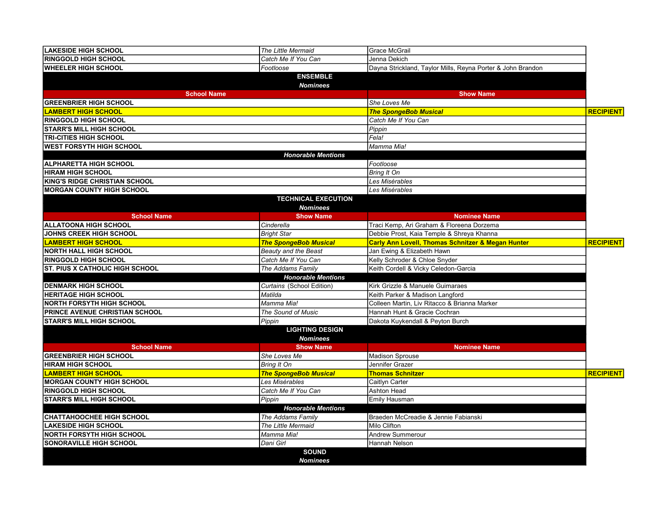| <b>LAKESIDE HIGH SCHOOL</b>                        | The Little Mermaid                  | <b>Grace McGrail</b>                                         |                  |
|----------------------------------------------------|-------------------------------------|--------------------------------------------------------------|------------------|
| <b>RINGGOLD HIGH SCHOOL</b><br>Catch Me If You Can |                                     | Jenna Dekich                                                 |                  |
| <b>WHEELER HIGH SCHOOL</b><br>Footloose            |                                     | Dayna Strickland, Taylor Mills, Reyna Porter & John Brandon  |                  |
|                                                    | <b>ENSEMBLE</b>                     |                                                              |                  |
|                                                    | <b>Nominees</b>                     |                                                              |                  |
| <b>School Name</b>                                 |                                     | <b>Show Name</b>                                             |                  |
| <b>GREENBRIER HIGH SCHOOL</b>                      |                                     | She Loves Me                                                 |                  |
| <b>LAMBERT HIGH SCHOOL</b>                         |                                     | <b>The SpongeBob Musical</b>                                 | <b>RECIPIENT</b> |
| <b>RINGGOLD HIGH SCHOOL</b>                        |                                     | Catch Me If You Can                                          |                  |
| <b>STARR'S MILL HIGH SCHOOL</b>                    |                                     | Pippin                                                       |                  |
| <b>TRI-CITIES HIGH SCHOOL</b>                      |                                     | Fela!                                                        |                  |
| <b>WEST FORSYTH HIGH SCHOOL</b>                    |                                     | Mamma Mia!                                                   |                  |
|                                                    | <b>Honorable Mentions</b>           |                                                              |                  |
| <b>ALPHARETTA HIGH SCHOOL</b>                      |                                     | Footloose                                                    |                  |
| <b>HIRAM HIGH SCHOOL</b>                           |                                     | Bring It On                                                  |                  |
| <b>KING'S RIDGE CHRISTIAN SCHOOL</b>               |                                     | Les Misérables                                               |                  |
| <b>MORGAN COUNTY HIGH SCHOOL</b>                   |                                     | Les Misérables                                               |                  |
|                                                    | <b>TECHNICAL EXECUTION</b>          |                                                              |                  |
| <b>School Name</b>                                 | <b>Nominees</b><br><b>Show Name</b> | <b>Nominee Name</b>                                          |                  |
| <b>ALLATOONA HIGH SCHOOL</b>                       | Cinderella                          | Traci Kemp, Ari Graham & Floreena Dorzema                    |                  |
| JOHNS CREEK HIGH SCHOOL                            | <b>Bright Star</b>                  | Debbie Prost, Kaia Temple & Shreya Khanna                    |                  |
| <b>LAMBERT HIGH SCHOOL</b>                         | <b>The SpongeBob Musical</b>        | <b>Carly Ann Lovell, Thomas Schnitzer &amp; Megan Hunter</b> | <b>RECIPIENT</b> |
| <b>NORTH HALL HIGH SCHOOL</b>                      | <b>Beauty and the Beast</b>         | Jan Ewing & Elizabeth Hawn                                   |                  |
| <b>RINGGOLD HIGH SCHOOL</b>                        | Catch Me If You Can                 | Kelly Schroder & Chloe Snyder                                |                  |
| <b>ST. PIUS X CATHOLIC HIGH SCHOOL</b>             | The Addams Family                   | Keith Cordell & Vicky Celedon-Garcia                         |                  |
|                                                    | <b>Honorable Mentions</b>           |                                                              |                  |
| <b>DENMARK HIGH SCHOOL</b>                         | Curtains (School Edition)           | Kirk Grizzle & Manuele Guimaraes                             |                  |
| <b>HERITAGE HIGH SCHOOL</b>                        | Matilda                             | Keith Parker & Madison Langford                              |                  |
| <b>NORTH FORSYTH HIGH SCHOOL</b><br>Mamma Mia!     |                                     | Colleen Martin, Liv Ritacco & Brianna Marker                 |                  |
| PRINCE AVENUE CHRISTIAN SCHOOL                     | The Sound of Music                  | Hannah Hunt & Gracie Cochran                                 |                  |
| <b>STARR'S MILL HIGH SCHOOL</b><br>Pippin          |                                     | Dakota Kuykendall & Peyton Burch                             |                  |
|                                                    | <b>LIGHTING DESIGN</b>              |                                                              |                  |
|                                                    | <b>Nominees</b>                     |                                                              |                  |
| <b>School Name</b>                                 | <b>Show Name</b>                    | <b>Nominee Name</b>                                          |                  |
| <b>GREENBRIER HIGH SCHOOL</b>                      | She Loves Me                        | <b>Madison Sprouse</b>                                       |                  |
| <b>HIRAM HIGH SCHOOL</b>                           | Bring It On                         | Jennifer Grazer                                              |                  |
| <b>LAMBERT HIGH SCHOOL</b>                         | <b>The SpongeBob Musical</b>        | <b>Thomas Schnitzer</b>                                      | <b>RECIPIENT</b> |
| <b>MORGAN COUNTY HIGH SCHOOL</b>                   | Les Misérables                      | Caitlyn Carter                                               |                  |
| <b>RINGGOLD HIGH SCHOOL</b>                        | Catch Me If You Can                 | <b>Ashton Head</b>                                           |                  |
| <b>STARR'S MILL HIGH SCHOOL</b>                    | Pippin                              | Emily Hausman                                                |                  |
|                                                    | <b>Honorable Mentions</b>           |                                                              |                  |
| <b>CHATTAHOOCHEE HIGH SCHOOL</b>                   | The Addams Family                   | Braeden McCreadie & Jennie Fabianski                         |                  |
| <b>LAKESIDE HIGH SCHOOL</b>                        | The Little Mermaid                  | Milo Clifton                                                 |                  |
| <b>NORTH FORSYTH HIGH SCHOOL</b>                   | Mamma Mia!                          | Andrew Summerour                                             |                  |
| SONORAVILLE HIGH SCHOOL                            | Dani Girl                           | Hannah Nelson                                                |                  |
|                                                    | <b>SOUND</b>                        |                                                              |                  |
|                                                    | <b>Nominees</b>                     |                                                              |                  |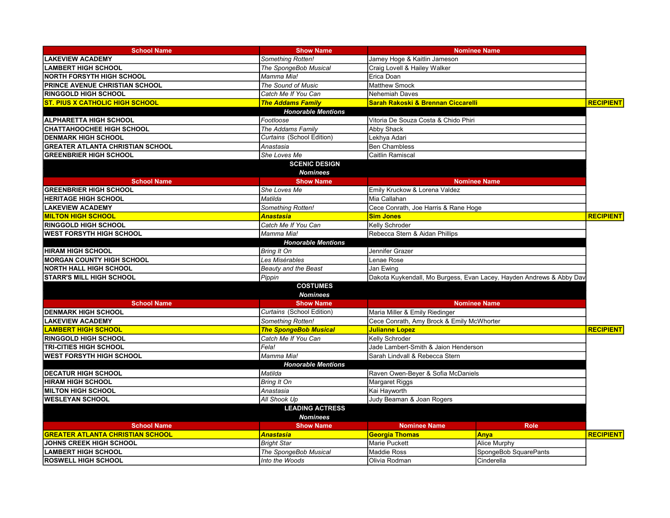| <b>School Name</b>                      | <b>Show Name</b>             | <b>Nominee Name</b>                                                  |                       |                  |
|-----------------------------------------|------------------------------|----------------------------------------------------------------------|-----------------------|------------------|
| <b>LAKEVIEW ACADEMY</b>                 | Something Rotten!            | Jamey Hoge & Kaitlin Jameson                                         |                       |                  |
| <b>LAMBERT HIGH SCHOOL</b>              | The SpongeBob Musical        | Craig Lovell & Hailey Walker                                         |                       |                  |
| <b>NORTH FORSYTH HIGH SCHOOL</b>        | Mamma Mia!                   | Erica Doan                                                           |                       |                  |
| <b>PRINCE AVENUE CHRISTIAN SCHOOL</b>   | The Sound of Music           | <b>Matthew Smock</b>                                                 |                       |                  |
| <b>RINGGOLD HIGH SCHOOL</b>             | Catch Me If You Can          | <b>Nehemiah Daves</b>                                                |                       |                  |
| <b>ST. PIUS X CATHOLIC HIGH SCHOOL</b>  | <b>The Addams Family</b>     | Sarah Rakoski & Brennan Ciccarelli                                   |                       | <b>RECIPIENT</b> |
|                                         | <b>Honorable Mentions</b>    |                                                                      |                       |                  |
| <b>ALPHARETTA HIGH SCHOOL</b>           | Footloose                    | Vitoria De Souza Costa & Chido Phiri                                 |                       |                  |
| <b>CHATTAHOOCHEE HIGH SCHOOL</b>        | The Addams Family            | <b>Abby Shack</b>                                                    |                       |                  |
| <b>DENMARK HIGH SCHOOL</b>              | Curtains (School Edition)    | Lekhya Adari                                                         |                       |                  |
| <b>GREATER ATLANTA CHRISTIAN SCHOOL</b> | Anastasia                    | <b>Ben Chambless</b>                                                 |                       |                  |
| <b>GREENBRIER HIGH SCHOOL</b>           | She Loves Me                 | Caitlin Ramiscal                                                     |                       |                  |
|                                         | <b>SCENIC DESIGN</b>         |                                                                      |                       |                  |
|                                         | <b>Nominees</b>              |                                                                      |                       |                  |
| <b>School Name</b>                      | <b>Show Name</b>             |                                                                      | <b>Nominee Name</b>   |                  |
| <b>GREENBRIER HIGH SCHOOL</b>           | She Loves Me                 | Emily Kruckow & Lorena Valdez                                        |                       |                  |
| <b>HERITAGE HIGH SCHOOL</b>             | Matilda                      | Mia Callahan                                                         |                       |                  |
| <b>LAKEVIEW ACADEMY</b>                 | Something Rotten!            | Cece Conrath, Joe Harris & Rane Hoge                                 |                       |                  |
| <b>MILTON HIGH SCHOOL</b>               | <b>Anastasia</b>             | <b>Sim Jones</b>                                                     |                       | <b>RECIPIENT</b> |
| <b>RINGGOLD HIGH SCHOOL</b>             | Catch Me If You Can          | Kelly Schroder                                                       |                       |                  |
| <b>WEST FORSYTH HIGH SCHOOL</b>         | Mamma Mia!                   | Rebecca Stern & Aidan Phillips                                       |                       |                  |
|                                         | <b>Honorable Mentions</b>    |                                                                      |                       |                  |
| <b>HIRAM HIGH SCHOOL</b>                | <b>Bring It On</b>           | Jennifer Grazer                                                      |                       |                  |
| <b>MORGAN COUNTY HIGH SCHOOL</b>        | Les Misérables               | Lenae Rose                                                           |                       |                  |
| <b>NORTH HALL HIGH SCHOOL</b>           | <b>Beauty and the Beast</b>  | Jan Ewing                                                            |                       |                  |
| <b>STARR'S MILL HIGH SCHOOL</b>         | Pippin                       | Dakota Kuykendall, Mo Burgess, Evan Lacey, Hayden Andrews & Abby Dav |                       |                  |
|                                         | <b>COSTUMES</b>              |                                                                      |                       |                  |
| <b>Nominees</b>                         |                              |                                                                      |                       |                  |
| <b>School Name</b>                      | <b>Show Name</b>             |                                                                      | <b>Nominee Name</b>   |                  |
| <b>DENMARK HIGH SCHOOL</b>              | Curtains (School Edition)    | Maria Miller & Emily Riedinger                                       |                       |                  |
| <b>LAKEVIEW ACADEMY</b>                 | Something Rotten!            | Cece Conrath, Amy Brock & Emily McWhorter                            |                       |                  |
| <b>LAMBERT HIGH SCHOOL</b>              | <b>The SpongeBob Musical</b> | <b>Julianne Lopez</b>                                                |                       | <b>RECIPIENT</b> |
| <b>RINGGOLD HIGH SCHOOL</b>             | Catch Me If You Can          | Kelly Schroder                                                       |                       |                  |
| <b>TRI-CITIES HIGH SCHOOL</b>           | Fela!                        | Jade Lambert-Smith & Jaion Henderson                                 |                       |                  |
| <b>WEST FORSYTH HIGH SCHOOL</b>         | Mamma Mia!                   | Sarah Lindvall & Rebecca Stern                                       |                       |                  |
|                                         | <b>Honorable Mentions</b>    |                                                                      |                       |                  |
| <b>DECATUR HIGH SCHOOL</b>              | Matilda                      | Raven Owen-Beyer & Sofia McDaniels                                   |                       |                  |
| <b>HIRAM HIGH SCHOOL</b>                | <b>Bring It On</b>           | Margaret Riggs                                                       |                       |                  |
| <b>MILTON HIGH SCHOOL</b>               | Anastasia                    | Kai Hayworth                                                         |                       |                  |
| <b>WESLEYAN SCHOOL</b>                  | All Shook Up                 | Judy Beaman & Joan Rogers                                            |                       |                  |
|                                         | <b>LEADING ACTRESS</b>       |                                                                      |                       |                  |
| <b>Nominees</b>                         |                              |                                                                      |                       |                  |
| <b>School Name</b>                      | <b>Show Name</b>             | <b>Nominee Name</b>                                                  | <b>Role</b>           |                  |
| <b>GREATER ATLANTA CHRISTIAN SCHOOL</b> | <b>Anastasia</b>             | <b>Georgia Thomas</b>                                                | <b>Anya</b>           | <b>RECIPIENT</b> |
| <b>JOHNS CREEK HIGH SCHOOL</b>          | <b>Bright Star</b>           | <b>Marie Puckett</b>                                                 | Alice Murphy          |                  |
| <b>LAMBERT HIGH SCHOOL</b>              | The SpongeBob Musical        | <b>Maddie Ross</b>                                                   | SpongeBob SquarePants |                  |
| <b>ROSWELL HIGH SCHOOL</b>              | Into the Woods               | Olivia Rodman                                                        | Cinderella            |                  |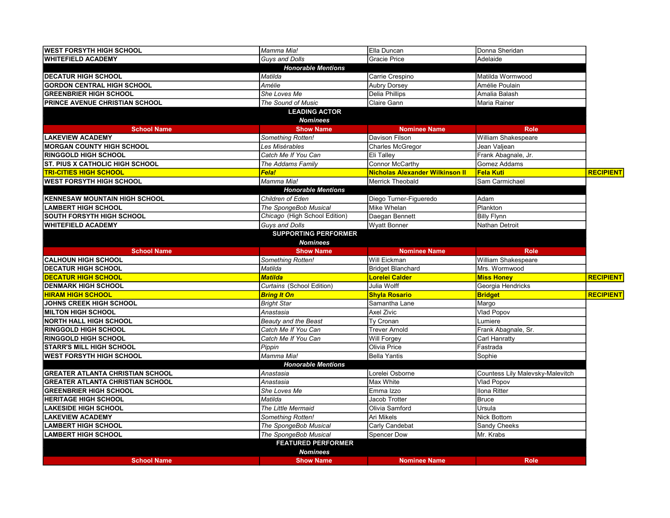| <b>WEST FORSYTH HIGH SCHOOL</b>         | Mamma Mia!                       | Ella Duncan                            | Donna Sheridan                   |                  |
|-----------------------------------------|----------------------------------|----------------------------------------|----------------------------------|------------------|
| <b>WHITEFIELD ACADEMY</b>               | Guys and Dolls                   | <b>Gracie Price</b>                    | Adelaide                         |                  |
|                                         | <b>Honorable Mentions</b>        |                                        |                                  |                  |
| <b>DECATUR HIGH SCHOOL</b>              | Matilda                          | Carrie Crespino                        | Matilda Wormwood                 |                  |
| <b>GORDON CENTRAL HIGH SCHOOL</b>       | Amélie                           | <b>Aubry Dorsey</b>                    | Amélie Poulain                   |                  |
| <b>GREENBRIER HIGH SCHOOL</b>           | She Loves Me                     | Delia Phillips                         | Amalia Balash                    |                  |
| PRINCE AVENUE CHRISTIAN SCHOOL          | The Sound of Music               | Claire Gann                            | Maria Rainer                     |                  |
|                                         | <b>LEADING ACTOR</b>             |                                        |                                  |                  |
|                                         | <b>Nominees</b>                  |                                        |                                  |                  |
| <b>School Name</b>                      | <b>Show Name</b>                 | <b>Nominee Name</b>                    | <b>Role</b>                      |                  |
| <b>LAKEVIEW ACADEMY</b>                 | Something Rotten!                | Davison Filson                         | William Shakespeare              |                  |
| <b>MORGAN COUNTY HIGH SCHOOL</b>        | Les Misérables                   | Charles McGregor                       | Jean Valjean                     |                  |
| <b>RINGGOLD HIGH SCHOOL</b>             | Catch Me If You Can              | <b>Eli Talley</b>                      | Frank Abagnale, Jr.              |                  |
| <b>ST. PIUS X CATHOLIC HIGH SCHOOL</b>  | The Addams Family                | Connor McCarthy                        | Gomez Addams                     |                  |
| <b>TRI-CITIES HIGH SCHOOL</b>           | <b>Fela!</b>                     | <b>Nicholas Alexander Wilkinson II</b> | <b>Fela Kuti</b>                 | <b>RECIPIENT</b> |
| <b>WEST FORSYTH HIGH SCHOOL</b>         | Mamma Mia!                       | Merrick Theobald                       | Sam Carmichael                   |                  |
|                                         | <b>Honorable Mentions</b>        |                                        |                                  |                  |
| <b>KENNESAW MOUNTAIN HIGH SCHOOL</b>    | Children of Eden                 | Diego Turner-Figueredo                 | Adam                             |                  |
| <b>LAMBERT HIGH SCHOOL</b>              | The SpongeBob Musical            | Mike Whelan                            | Plankton                         |                  |
| <b>SOUTH FORSYTH HIGH SCHOOL</b>        | Chicago (High School Edition)    | Daegan Bennett                         | <b>Billy Flynn</b>               |                  |
| <b>WHITEFIELD ACADEMY</b>               | Guys and Dolls                   | Wyatt Bonner                           | Nathan Detroit                   |                  |
|                                         | <b>SUPPORTING PERFORMER</b>      |                                        |                                  |                  |
|                                         | <b>Nominees</b>                  |                                        |                                  |                  |
| <b>School Name</b>                      | <b>Show Name</b>                 | <b>Nominee Name</b>                    | <b>Role</b>                      |                  |
| <b>CALHOUN HIGH SCHOOL</b>              | Something Rotten!                | Will Eickman                           | William Shakespeare              |                  |
| <b>DECATUR HIGH SCHOOL</b>              | Matilda                          | <b>Bridget Blanchard</b>               | Mrs. Wormwood                    |                  |
| <b>DECATUR HIGH SCHOOL</b>              | <b>Matilda</b>                   | <b>Lorelei Calder</b>                  | <b>Miss Honey</b>                | <b>RECIPIENT</b> |
| <b>DENMARK HIGH SCHOOL</b>              | <b>Curtains (School Edition)</b> | Julia Wolff                            | Georgia Hendricks                |                  |
| <b>HIRAM HIGH SCHOOL</b>                | <b>Bring It On</b>               | <b>Shyla Rosario</b>                   | <b>Bridget</b>                   | <b>RECIPIENT</b> |
| <b>JOHNS CREEK HIGH SCHOOL</b>          | <b>Bright Star</b>               | Samantha Lane                          | Margo                            |                  |
| <b>MILTON HIGH SCHOOL</b>               | Anastasia                        | <b>Axel Zivic</b>                      | Vlad Popov                       |                  |
| <b>NORTH HALL HIGH SCHOOL</b>           | Beauty and the Beast             | Ty Cronan                              | Lumiere                          |                  |
| <b>RINGGOLD HIGH SCHOOL</b>             | Catch Me If You Can              | <b>Trever Arnold</b>                   | Frank Abagnale, Sr.              |                  |
| <b>RINGGOLD HIGH SCHOOL</b>             | Catch Me If You Can              | <b>Will Forgey</b>                     | Carl Hanratty                    |                  |
| <b>STARR'S MILL HIGH SCHOOL</b>         | Pippin                           | Olivia Price                           | Fastrada                         |                  |
| <b>WEST FORSYTH HIGH SCHOOL</b>         | Mamma Mia!                       | Bella Yantis                           | Sophie                           |                  |
|                                         | <b>Honorable Mentions</b>        |                                        |                                  |                  |
| <b>GREATER ATLANTA CHRISTIAN SCHOOL</b> | Anastasia                        | Lorelei Osborne                        | Countess Lily Malevsky-Malevitch |                  |
| <b>GREATER ATLANTA CHRISTIAN SCHOOL</b> | Anastasia                        | Max White                              | Vlad Popov                       |                  |
| <b>GREENBRIER HIGH SCHOOL</b>           | She Loves Me                     | Emma Izzo                              | Ilona Ritter                     |                  |
| <b>HERITAGE HIGH SCHOOL</b>             | Matilda                          | Jacob Trotter                          | Bruce                            |                  |
| <b>LAKESIDE HIGH SCHOOL</b>             | The Little Mermaid               | Olivia Samford                         | Ursula                           |                  |
| <b>LAKEVIEW ACADEMY</b>                 | Something Rotten!                | Ari Mikels                             | Nick Bottom                      |                  |
| <b>LAMBERT HIGH SCHOOL</b>              | The SpongeBob Musical            | Carly Candebat                         | Sandy Cheeks                     |                  |
| <b>LAMBERT HIGH SCHOOL</b>              | The SpongeBob Musical            | Spencer Dow                            | Mr. Krabs                        |                  |
|                                         | <b>FEATURED PERFORMER</b>        |                                        |                                  |                  |
|                                         | <b>Nominees</b>                  |                                        |                                  |                  |
| <b>School Name</b>                      | <b>Show Name</b>                 | <b>Nominee Name</b>                    | <b>Role</b>                      |                  |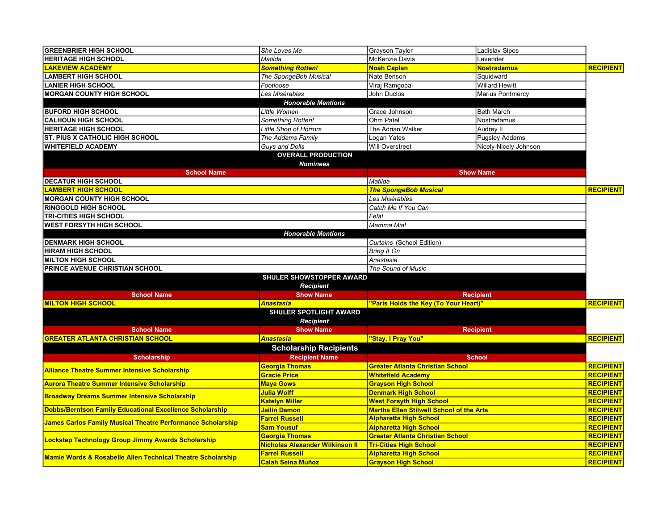| <b>GREENBRIER HIGH SCHOOL</b>                                          | She Loves Me                           | <b>Grayson Taylor</b>                           | Ladislav Sipos        |                  |
|------------------------------------------------------------------------|----------------------------------------|-------------------------------------------------|-----------------------|------------------|
| <b>HERITAGE HIGH SCHOOL</b>                                            | Matilda                                | McKenzie Davis                                  | Lavender              |                  |
| <u>AKEVIEW ACADEMY</u>                                                 | <b>Something Rotten!</b>               | <mark>Noah Caplan</mark>                        | <u>Nostradamus</u>    | <b>RECIPIENT</b> |
| <b>LAMBERT HIGH SCHOOL</b>                                             | The SpongeBob Musical                  | Nate Benson                                     | Squidward             |                  |
| <b>LANIER HIGH SCHOOL</b>                                              | Footloose                              | Viraj Ramgopal                                  | <b>Willard Hewitt</b> |                  |
| <b>MORGAN COUNTY HIGH SCHOOL</b>                                       | Les Misérables                         | <b>John Duclos</b>                              | Marius Pontmercy      |                  |
|                                                                        | <b>Honorable Mentions</b>              |                                                 |                       |                  |
| <b>BUFORD HIGH SCHOOL</b>                                              | Little Women                           | Grace Johnson                                   | <b>Beth March</b>     |                  |
| <b>CALHOUN HIGH SCHOOL</b>                                             | Something Rotten!                      | Ohm Patel                                       | Nostradamus           |                  |
| <b>HERITAGE HIGH SCHOOL</b>                                            | <b>Little Shop of Horrors</b>          | The Adrian Walker                               | Audrey II             |                  |
| <b>ST. PIUS X CATHOLIC HIGH SCHOOL</b>                                 | The Addams Family                      | Logan Yates                                     | <b>Pugsley Addams</b> |                  |
| <b>WHITEFIELD ACADEMY</b>                                              | Guys and Dolls                         | <b>Will Overstreet</b>                          | Nicely-Nicely Johnson |                  |
|                                                                        | <b>OVERALL PRODUCTION</b>              |                                                 |                       |                  |
|                                                                        | <b>Nominees</b>                        |                                                 |                       |                  |
| <b>School Name</b>                                                     |                                        |                                                 | <b>Show Name</b>      |                  |
| <b>DECATUR HIGH SCHOOL</b>                                             |                                        | Matilda                                         |                       |                  |
| <b>LAMBERT HIGH SCHOOL</b>                                             |                                        | <b>The SpongeBob Musical</b>                    |                       | <b>RECIPIENT</b> |
| <b>MORGAN COUNTY HIGH SCHOOL</b>                                       |                                        | Les Misérables                                  |                       |                  |
| <b>RINGGOLD HIGH SCHOOL</b>                                            |                                        | Catch Me If You Can                             |                       |                  |
| <b>TRI-CITIES HIGH SCHOOL</b>                                          |                                        | Fela!                                           |                       |                  |
| <b>WEST FORSYTH HIGH SCHOOL</b>                                        |                                        | Mamma Mia!                                      |                       |                  |
|                                                                        | <b>Honorable Mentions</b>              |                                                 |                       |                  |
| <b>DENMARK HIGH SCHOOL</b>                                             |                                        | Curtains (School Edition)                       |                       |                  |
| <b>HIRAM HIGH SCHOOL</b>                                               |                                        | <b>Bring It On</b>                              |                       |                  |
| <b>MILTON HIGH SCHOOL</b>                                              |                                        | Anastasia                                       |                       |                  |
| PRINCE AVENUE CHRISTIAN SCHOOL                                         |                                        | The Sound of Music                              |                       |                  |
|                                                                        | <b>SHULER SHOWSTOPPER AWARD</b>        |                                                 |                       |                  |
|                                                                        | <b>Recipient</b>                       |                                                 |                       |                  |
| <b>School Name</b>                                                     | <b>Show Name</b>                       |                                                 | <b>Recipient</b>      |                  |
| <b>MILTON HIGH SCHOOL</b>                                              | <b>Anastasia</b>                       | "Paris Holds the Key (To Your Heart)"           |                       | <b>RECIPIENT</b> |
|                                                                        | <b>SHULER SPOTLIGHT AWARD</b>          |                                                 |                       |                  |
|                                                                        | <b>Recipient</b>                       |                                                 |                       |                  |
| <b>School Name</b>                                                     | <b>Show Name</b>                       |                                                 | <b>Recipient</b>      |                  |
| <b>GREATER ATLANTA CHRISTIAN SCHOOL</b>                                | <b>Anastasia</b>                       | "Stay, I Pray You"                              |                       | <b>RECIPIENT</b> |
|                                                                        |                                        |                                                 |                       |                  |
|                                                                        | <b>Scholarship Recipients</b>          |                                                 |                       |                  |
| <b>Scholarship</b>                                                     | <b>Recipient Name</b>                  |                                                 | <b>School</b>         |                  |
| <b>Alliance Theatre Summer Intensive Scholarship</b>                   | Georgia Thomas                         | <b>Greater Atlanta Christian School</b>         |                       | <b>RECIPIENT</b> |
|                                                                        | <b>Gracie Price</b>                    | <b>Whitefield Academy</b>                       |                       | <b>RECIPIENT</b> |
| <b>Aurora Theatre Summer Intensive Scholarship</b>                     | <b>Maya Gows</b>                       | <b>Grayson High School</b>                      |                       | <b>RECIPIENT</b> |
| <b>Broadway Dreams Summer Intensive Scholarship</b>                    | Julia Wolff                            | <b>Denmark High School</b>                      |                       | <b>RECIPIENT</b> |
|                                                                        | <b>Katelyn Miller</b>                  | <b>West Forsyth High School</b>                 |                       | <b>RECIPIENT</b> |
| <b>Dobbs/Berntson Family Educational Excellence Scholarship</b>        | Jailin Damon                           | <b>Martha Ellen Stilwell School of the Arts</b> |                       | <b>RECIPIENT</b> |
| James Carlos Family Musical Theatre Performance Scholarship            | <b>Farrel Russell</b>                  | <b>Alpharetta High School</b>                   |                       | <b>RECIPIENT</b> |
|                                                                        | <b>Sam Yousuf</b>                      | <b>Alpharetta High School</b>                   |                       | <b>RECIPIENT</b> |
| <b>Lockstep Technology Group Jimmy Awards Scholarship</b>              | <b>Georgia Thomas</b>                  | <b>Greater Atlanta Christian School</b>         |                       | <b>RECIPIENT</b> |
|                                                                        | <b>Nicholas Alexander Wilkinson II</b> | <b>Tri-Cities High School</b>                   |                       | <b>RECIPIENT</b> |
| <b>Mamie Words &amp; Rosabelle Allen Technical Theatre Scholarship</b> | <b>Farrel Russell</b>                  | <b>Alpharetta High School</b>                   |                       | <b>RECIPIENT</b> |
|                                                                        | <b>Calah Seina Muñoz</b>               | <b>Grayson High School</b>                      |                       | <b>RECIPIENT</b> |